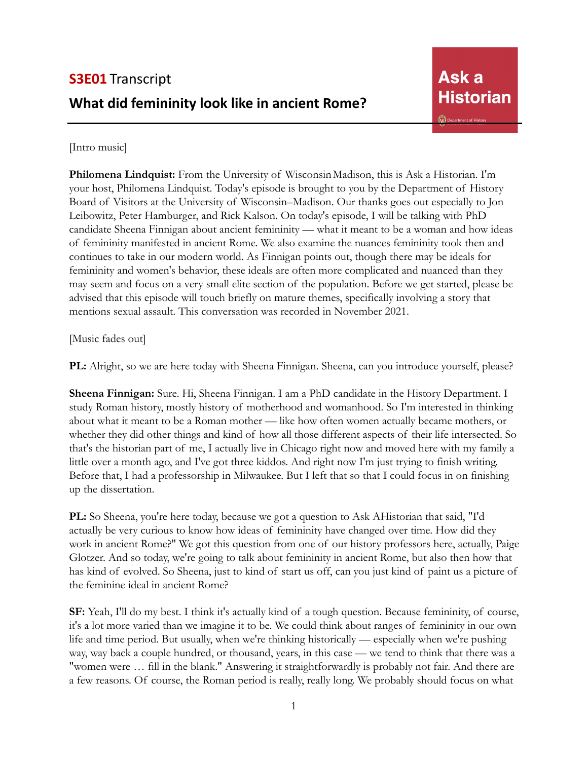## [Intro music]

Philomena Lindquist: From the University of Wisconsin Madison, this is Ask a Historian. I'm your host, Philomena Lindquist. Today's episode is brought to you by the Department of History Board of Visitors at the University of Wisconsin–Madison. Our thanks goes out especially to Jon Leibowitz, Peter Hamburger, and Rick Kalson. On today's episode, I will be talking with PhD candidate Sheena Finnigan about ancient femininity — what it meant to be a woman and how ideas of femininity manifested in ancient Rome. We also examine the nuances femininity took then and continues to take in our modern world. As Finnigan points out, though there may be ideals for femininity and women's behavior, these ideals are often more complicated and nuanced than they may seem and focus on a very small elite section of the population. Before we get started, please be advised that this episode will touch briefly on mature themes, specifically involving a story that mentions sexual assault. This conversation was recorded in November 2021.

[Music fades out]

PL: Alright, so we are here today with Sheena Finnigan. Sheena, can you introduce yourself, please?

**Sheena Finnigan:** Sure. Hi, Sheena Finnigan. I am a PhD candidate in the History Department. I study Roman history, mostly history of motherhood and womanhood. So I'm interested in thinking about what it meant to be a Roman mother — like how often women actually became mothers, or whether they did other things and kind of how all those different aspects of their life intersected. So that's the historian part of me, I actually live in Chicago right now and moved here with my family a little over a month ago, and I've got three kiddos. And right now I'm just trying to finish writing. Before that, I had a professorship in Milwaukee. But I left that so that I could focus in on finishing up the dissertation.

**PL:** So Sheena, you're here today, because we got a question to Ask AHistorian that said, "I'd actually be very curious to know how ideas of femininity have changed over time. How did they work in ancient Rome?" We got this question from one of our history professors here, actually, Paige Glotzer. And so today, we're going to talk about femininity in ancient Rome, but also then how that has kind of evolved. So Sheena, just to kind of start us off, can you just kind of paint us a picture of the feminine ideal in ancient Rome?

**SF:** Yeah, I'll do my best. I think it's actually kind of a tough question. Because femininity, of course, it's a lot more varied than we imagine it to be. We could think about ranges of femininity in our own life and time period. But usually, when we're thinking historically — especially when we're pushing way, way back a couple hundred, or thousand, years, in this case — we tend to think that there was a "women were … fill in the blank." Answering it straightforwardly is probably not fair. And there are a few reasons. Of course, the Roman period is really, really long. We probably should focus on what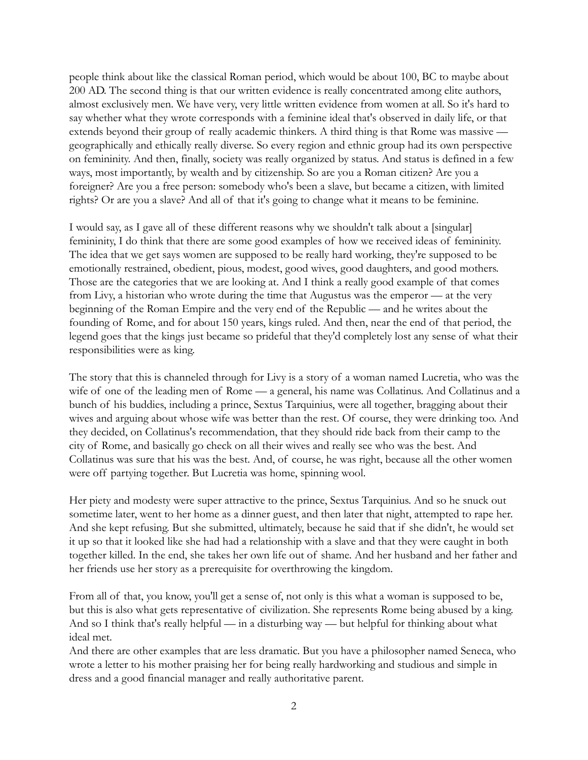people think about like the classical Roman period, which would be about 100, BC to maybe about 200 AD. The second thing is that our written evidence is really concentrated among elite authors, almost exclusively men. We have very, very little written evidence from women at all. So it's hard to say whether what they wrote corresponds with a feminine ideal that's observed in daily life, or that extends beyond their group of really academic thinkers. A third thing is that Rome was massive geographically and ethically really diverse. So every region and ethnic group had its own perspective on femininity. And then, finally, society was really organized by status. And status is defined in a few ways, most importantly, by wealth and by citizenship. So are you a Roman citizen? Are you a foreigner? Are you a free person: somebody who's been a slave, but became a citizen, with limited rights? Or are you a slave? And all of that it's going to change what it means to be feminine.

I would say, as I gave all of these different reasons why we shouldn't talk about a [singular] femininity, I do think that there are some good examples of how we received ideas of femininity. The idea that we get says women are supposed to be really hard working, they're supposed to be emotionally restrained, obedient, pious, modest, good wives, good daughters, and good mothers. Those are the categories that we are looking at. And I think a really good example of that comes from Livy, a historian who wrote during the time that Augustus was the emperor — at the very beginning of the Roman Empire and the very end of the Republic — and he writes about the founding of Rome, and for about 150 years, kings ruled. And then, near the end of that period, the legend goes that the kings just became so prideful that they'd completely lost any sense of what their responsibilities were as king.

The story that this is channeled through for Livy is a story of a woman named Lucretia, who was the wife of one of the leading men of Rome — a general, his name was Collatinus. And Collatinus and a bunch of his buddies, including a prince, Sextus Tarquinius, were all together, bragging about their wives and arguing about whose wife was better than the rest. Of course, they were drinking too. And they decided, on Collatinus's recommendation, that they should ride back from their camp to the city of Rome, and basically go check on all their wives and really see who was the best. And Collatinus was sure that his was the best. And, of course, he was right, because all the other women were off partying together. But Lucretia was home, spinning wool.

Her piety and modesty were super attractive to the prince, Sextus Tarquinius. And so he snuck out sometime later, went to her home as a dinner guest, and then later that night, attempted to rape her. And she kept refusing. But she submitted, ultimately, because he said that if she didn't, he would set it up so that it looked like she had had a relationship with a slave and that they were caught in both together killed. In the end, she takes her own life out of shame. And her husband and her father and her friends use her story as a prerequisite for overthrowing the kingdom.

From all of that, you know, you'll get a sense of, not only is this what a woman is supposed to be, but this is also what gets representative of civilization. She represents Rome being abused by a king. And so I think that's really helpful — in a disturbing way — but helpful for thinking about what ideal met.

And there are other examples that are less dramatic. But you have a philosopher named Seneca, who wrote a letter to his mother praising her for being really hardworking and studious and simple in dress and a good financial manager and really authoritative parent.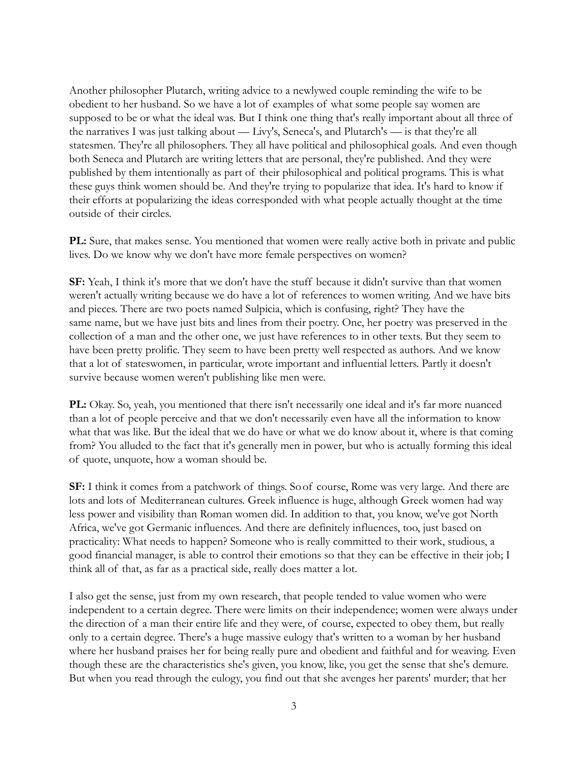Another philosopher Plutarch, writing advice to a newlywed couple reminding the wife to be obedient to her husband. So we have a lot of examples of what some people say women are supposed to be or what the ideal was. But I think one thing that's really important about all three of the narratives I was just talking about — Livy's, Seneca's, and Plutarch's — is that they're all statesmen. They're all philosophers. They all have political and philosophical goals. And even though both Seneca and Plutarch are writing letters that are personal, they're published. And they were published by them intentionally as part of their philosophical and political programs. This is what these guys think women should be. And they're trying to popularize that idea. It's hard to know if their efforts at popularizing the ideas corresponded with what people actually thought at the time outside of their circles.

**PL:** Sure, that makes sense. You mentioned that women were really active both in private and public lives. Do we know why we don't have more female perspectives on women?

**SF:** Yeah, I think it's more that we don't have the stuff because it didn't survive than that women weren't actually writing because we do have a lot of references to women writing. And we have bits and pieces. There are two poets named Sulpicia, which is confusing, right? They have the same name, but we have just bits and lines from their poetry. One, her poetry was preserved in the collection of a man and the other one, we just have references to in other texts. But they seem to have been pretty prolific. They seem to have been pretty well respected as authors. And we know that a lot of stateswomen, in particular, wrote important and influential letters. Partly it doesn't survive because women weren't publishing like men were.

**PL:** Okay. So, yeah, you mentioned that there isn't necessarily one ideal and it's far more nuanced than a lot of people perceive and that we don't necessarily even have all the information to know what that was like. But the ideal that we do have or what we do know about it, where is that coming from? You alluded to the fact that it's generally men in power, but who is actually forming this ideal of quote, unquote, how a woman should be.

**SF:** I think it comes from a patchwork of things. Soof course, Rome was very large. And there are lots and lots of Mediterranean cultures. Greek influence is huge, although Greek women had way less power and visibility than Roman women did. In addition to that, you know, we've got North Africa, we've got Germanic influences. And there are definitely influences, too, just based on practicality: What needs to happen? Someone who is really committed to their work, studious, a good financial manager, is able to control their emotions so that they can be effective in their job; I think all of that, as far as a practical side, really does matter a lot.

I also get the sense, just from my own research, that people tended to value women who were independent to a certain degree. There were limits on their independence; women were always under the direction of a man their entire life and they were, of course, expected to obey them, but really only to a certain degree. There's a huge massive eulogy that's written to a woman by her husband where her husband praises her for being really pure and obedient and faithful and for weaving. Even though these are the characteristics she's given, you know, like, you get the sense that she's demure. But when you read through the eulogy, you find out that she avenges her parents' murder; that her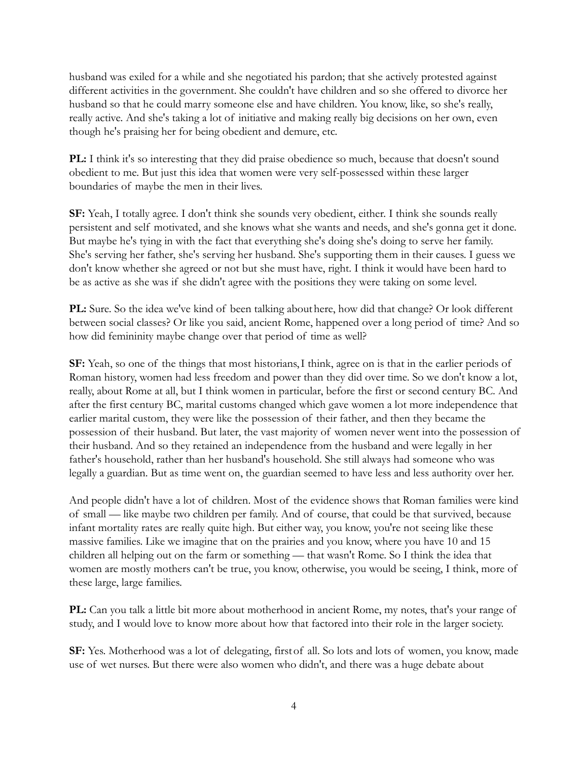husband was exiled for a while and she negotiated his pardon; that she actively protested against different activities in the government. She couldn't have children and so she offered to divorce her husband so that he could marry someone else and have children. You know, like, so she's really, really active. And she's taking a lot of initiative and making really big decisions on her own, even though he's praising her for being obedient and demure, etc.

**PL:** I think it's so interesting that they did praise obedience so much, because that doesn't sound obedient to me. But just this idea that women were very self-possessed within these larger boundaries of maybe the men in their lives.

**SF:** Yeah, I totally agree. I don't think she sounds very obedient, either. I think she sounds really persistent and self motivated, and she knows what she wants and needs, and she's gonna get it done. But maybe he's tying in with the fact that everything she's doing she's doing to serve her family. She's serving her father, she's serving her husband. She's supporting them in their causes. I guess we don't know whether she agreed or not but she must have, right. I think it would have been hard to be as active as she was if she didn't agree with the positions they were taking on some level.

**PL:** Sure. So the idea we've kind of been talking abouthere, how did that change? Or look different between social classes? Or like you said, ancient Rome, happened over a long period of time? And so how did femininity maybe change over that period of time as well?

**SF:** Yeah, so one of the things that most historians,I think, agree on is that in the earlier periods of Roman history, women had less freedom and power than they did over time. So we don't know a lot, really, about Rome at all, but I think women in particular, before the first or second century BC. And after the first century BC, marital customs changed which gave women a lot more independence that earlier marital custom, they were like the possession of their father, and then they became the possession of their husband. But later, the vast majority of women never went into the possession of their husband. And so they retained an independence from the husband and were legally in her father's household, rather than her husband's household. She still always had someone who was legally a guardian. But as time went on, the guardian seemed to have less and less authority over her.

And people didn't have a lot of children. Most of the evidence shows that Roman families were kind of small — like maybe two children per family. And of course, that could be that survived, because infant mortality rates are really quite high. But either way, you know, you're not seeing like these massive families. Like we imagine that on the prairies and you know, where you have 10 and 15 children all helping out on the farm or something — that wasn't Rome. So I think the idea that women are mostly mothers can't be true, you know, otherwise, you would be seeing, I think, more of these large, large families.

**PL:** Can you talk a little bit more about motherhood in ancient Rome, my notes, that's your range of study, and I would love to know more about how that factored into their role in the larger society.

**SF:** Yes. Motherhood was a lot of delegating, firstof all. So lots and lots of women, you know, made use of wet nurses. But there were also women who didn't, and there was a huge debate about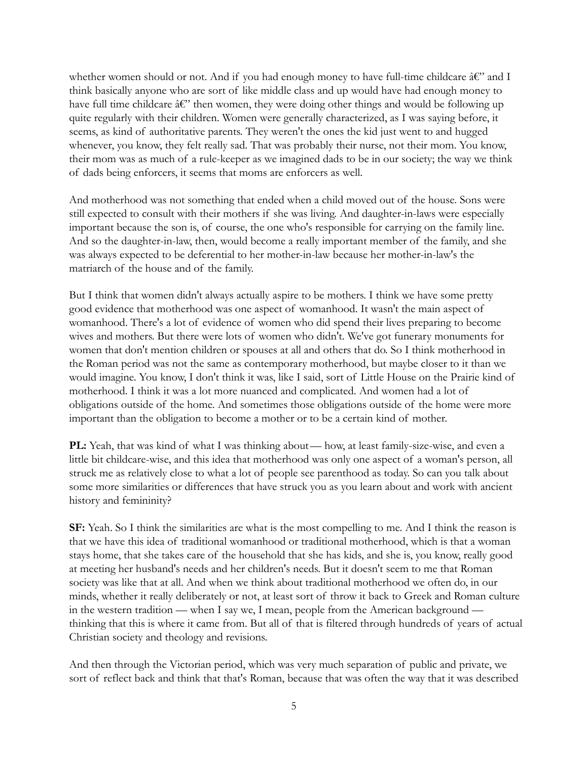whether women should or not. And if you had enough money to have full-time childcare  $\hat{a}\hat{\epsilon}$ " and I think basically anyone who are sort of like middle class and up would have had enough money to have full time childcare  $\hat{A} \hat{\epsilon}$ " then women, they were doing other things and would be following up quite regularly with their children. Women were generally characterized, as I was saying before, it seems, as kind of authoritative parents. They weren't the ones the kid just went to and hugged whenever, you know, they felt really sad. That was probably their nurse, not their mom. You know, their mom was as much of a rule-keeper as we imagined dads to be in our society; the way we think of dads being enforcers, it seems that moms are enforcers as well.

And motherhood was not something that ended when a child moved out of the house. Sons were still expected to consult with their mothers if she was living. And daughter-in-laws were especially important because the son is, of course, the one who's responsible for carrying on the family line. And so the daughter-in-law, then, would become a really important member of the family, and she was always expected to be deferential to her mother-in-law because her mother-in-law's the matriarch of the house and of the family.

But I think that women didn't always actually aspire to be mothers. I think we have some pretty good evidence that motherhood was one aspect of womanhood. It wasn't the main aspect of womanhood. There's a lot of evidence of women who did spend their lives preparing to become wives and mothers. But there were lots of women who didn't. We've got funerary monuments for women that don't mention children or spouses at all and others that do. So I think motherhood in the Roman period was not the same as contemporary motherhood, but maybe closer to it than we would imagine. You know, I don't think it was, like I said, sort of Little House on the Prairie kind of motherhood. I think it was a lot more nuanced and complicated. And women had a lot of obligations outside of the home. And sometimes those obligations outside of the home were more important than the obligation to become a mother or to be a certain kind of mother.

**PL:** Yeah, that was kind of what I was thinking about— how, at least family-size-wise, and even a little bit childcare-wise, and this idea that motherhood was only one aspect of a woman's person, all struck me as relatively close to what a lot of people see parenthood as today. So can you talk about some more similarities or differences that have struck you as you learn about and work with ancient history and femininity?

**SF:** Yeah. So I think the similarities are what is the most compelling to me. And I think the reason is that we have this idea of traditional womanhood or traditional motherhood, which is that a woman stays home, that she takes care of the household that she has kids, and she is, you know, really good at meeting her husband's needs and her children's needs. But it doesn't seem to me that Roman society was like that at all. And when we think about traditional motherhood we often do, in our minds, whether it really deliberately or not, at least sort of throw it back to Greek and Roman culture in the western tradition — when I say we, I mean, people from the American background thinking that this is where it came from. But all of that is filtered through hundreds of years of actual Christian society and theology and revisions.

And then through the Victorian period, which was very much separation of public and private, we sort of reflect back and think that that's Roman, because that was often the way that it was described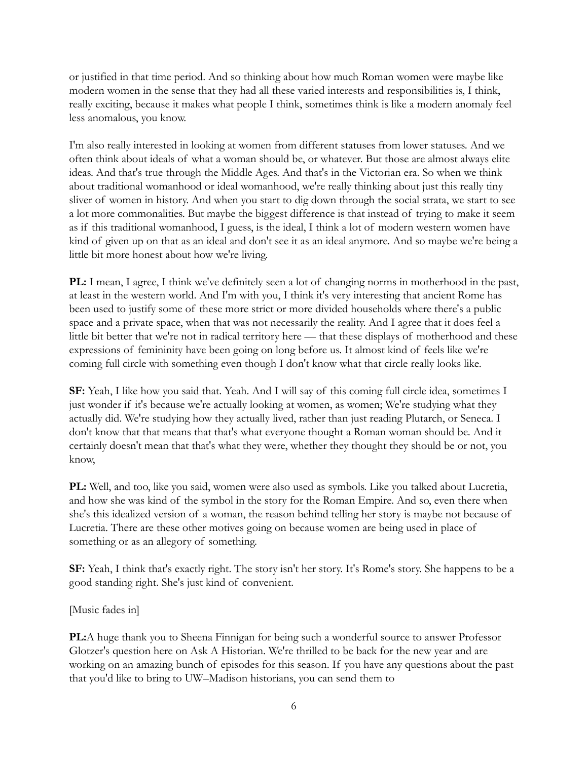or justified in that time period. And so thinking about how much Roman women were maybe like modern women in the sense that they had all these varied interests and responsibilities is, I think, really exciting, because it makes what people I think, sometimes think is like a modern anomaly feel less anomalous, you know.

I'm also really interested in looking at women from different statuses from lower statuses. And we often think about ideals of what a woman should be, or whatever. But those are almost always elite ideas. And that's true through the Middle Ages. And that's in the Victorian era. So when we think about traditional womanhood or ideal womanhood, we're really thinking about just this really tiny sliver of women in history. And when you start to dig down through the social strata, we start to see a lot more commonalities. But maybe the biggest difference is that instead of trying to make it seem as if this traditional womanhood, I guess, is the ideal, I think a lot of modern western women have kind of given up on that as an ideal and don't see it as an ideal anymore. And so maybe we're being a little bit more honest about how we're living.

**PL:** I mean, I agree, I think we've definitely seen a lot of changing norms in motherhood in the past, at least in the western world. And I'm with you, I think it's very interesting that ancient Rome has been used to justify some of these more strict or more divided households where there's a public space and a private space, when that was not necessarily the reality. And I agree that it does feel a little bit better that we're not in radical territory here — that these displays of motherhood and these expressions of femininity have been going on long before us. It almost kind of feels like we're coming full circle with something even though I don't know what that circle really looks like.

**SF:** Yeah, I like how you said that. Yeah. And I will say of this coming full circle idea, sometimes I just wonder if it's because we're actually looking at women, as women; We're studying what they actually did. We're studying how they actually lived, rather than just reading Plutarch, or Seneca. I don't know that that means that that's what everyone thought a Roman woman should be. And it certainly doesn't mean that that's what they were, whether they thought they should be or not, you know,

**PL:** Well, and too, like you said, women were also used as symbols. Like you talked about Lucretia, and how she was kind of the symbol in the story for the Roman Empire. And so, even there when she's this idealized version of a woman, the reason behind telling her story is maybe not because of Lucretia. There are these other motives going on because women are being used in place of something or as an allegory of something.

**SF:** Yeah, I think that's exactly right. The story isn't her story. It's Rome's story. She happens to be a good standing right. She's just kind of convenient.

[Music fades in]

**PL:**A huge thank you to Sheena Finnigan for being such a wonderful source to answer Professor Glotzer's question here on Ask A Historian. We're thrilled to be back for the new year and are working on an amazing bunch of episodes for this season. If you have any questions about the past that you'd like to bring to UW–Madison historians, you can send them to